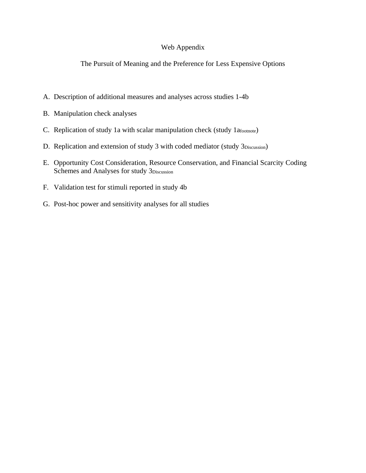### Web Appendix

The Pursuit of Meaning and the Preference for Less Expensive Options

- A. Description of additional measures and analyses across studies 1-4b
- B. Manipulation check analyses
- C. Replication of study 1a with scalar manipulation check (study 1afootnote)
- D. Replication and extension of study 3 with coded mediator (study 3Discussion)
- E. Opportunity Cost Consideration, Resource Conservation, and Financial Scarcity Coding Schemes and Analyses for study 3Discussion
- F. Validation test for stimuli reported in study 4b
- G. Post-hoc power and sensitivity analyses for all studies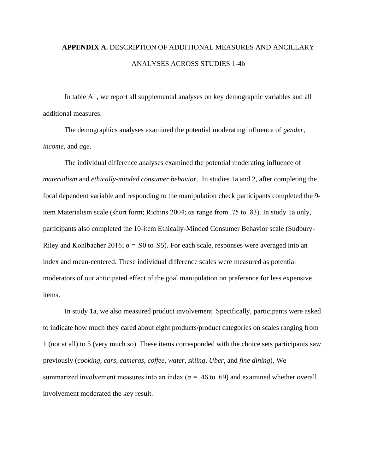# **APPENDIX A.** DESCRIPTION OF ADDITIONAL MEASURES AND ANCILLARY ANALYSES ACROSS STUDIES 1-4b

In table A1, we report all supplemental analyses on key demographic variables and all additional measures.

The demographics analyses examined the potential moderating influence of *gender*, *income*, and *age*.

The individual difference analyses examined the potential moderating influence of *materialism* and *ethically-minded consumer behavior*. In studies 1a and 2, after completing the focal dependent variable and responding to the manipulation check participants completed the 9 item Materialism scale (short form; Richins 2004; αs range from .75 to .83). In study 1a only, participants also completed the 10-item Ethically-Minded Consumer Behavior scale (Sudbury-Riley and Kohlbacher 2016;  $\alpha = .90$  to .95). For each scale, responses were averaged into an index and mean-centered. These individual difference scales were measured as potential moderators of our anticipated effect of the goal manipulation on preference for less expensive items.

In study 1a, we also measured product involvement. Specifically, participants were asked to indicate how much they cared about eight products/product categories on scales ranging from 1 (not at all) to 5 (very much so). These items corresponded with the choice sets participants saw previously (*cooking*, *cars*, *cameras*, *coffee*, *water*, *skiing*, *Uber*, and *fine dining*). We summarized involvement measures into an index ( $\alpha$  = .46 to .69) and examined whether overall involvement moderated the key result.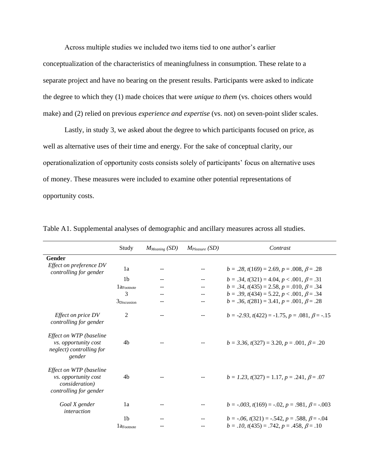Across multiple studies we included two items tied to one author's earlier

conceptualization of the characteristics of meaningfulness in consumption. These relate to a separate project and have no bearing on the present results. Participants were asked to indicate the degree to which they (1) made choices that were *unique to them* (vs. choices others would make) and (2) relied on previous *experience and expertise* (vs. not) on seven-point slider scales.

Lastly, in study 3, we asked about the degree to which participants focused on price, as well as alternative uses of their time and energy. For the sake of conceptual clarity, our operationalization of opportunity costs consists solely of participants' focus on alternative uses of money. These measures were included to examine other potential representations of opportunity costs.

|                                                                                              | Study                  | $M_{Meaning}$ (SD) | $M_{Please}$ (SD) | Contrast                                                     |
|----------------------------------------------------------------------------------------------|------------------------|--------------------|-------------------|--------------------------------------------------------------|
| Gender                                                                                       |                        |                    |                   |                                                              |
| Effect on preference DV<br>controlling for gender                                            | 1a                     | $-$                |                   | $b = .28$ , $t(169) = 2.69$ , $p = .008$ , $\beta = .28$     |
|                                                                                              | 1 <sub>b</sub>         |                    |                   | $b = .34$ , $t(321) = 4.04$ , $p < .001$ , $\beta = .31$     |
|                                                                                              | $1a_{\text{Footnote}}$ |                    |                   | $b = .34$ , $t(435) = 2.58$ , $p = .010$ , $\beta = .34$     |
|                                                                                              | 3                      |                    |                   | $b = .39$ , $t(434) = 5.22$ , $p < .001$ , $\beta = .34$     |
|                                                                                              | 3Discussion            | $ -$               |                   | $b = .36$ , $t(281) = 3.41$ , $p = .001$ , $\beta = .28$     |
| Effect on price DV<br>controlling for gender                                                 | 2                      |                    |                   | $b = -2.93$ , $t(422) = -1.75$ , $p = .081$ , $\beta = -.15$ |
| Effect on WTP (baseline<br><i>vs. opportunity cost</i><br>neglect) controlling for<br>gender | 4b                     |                    |                   | $b = 3.36$ , $t(327) = 3.20$ , $p = .001$ , $\beta = .20$    |
| Effect on WTP (baseline<br>vs. opportunity cost<br>consideration)<br>controlling for gender  | 4b                     |                    |                   | $b = 1.23$ , $t(327) = 1.17$ , $p = .241$ , $\beta = .07$    |
| Goal X gender<br>interaction                                                                 | 1a                     |                    |                   | $b = -.003$ , $t(169) = -.02$ , $p = .981$ , $\beta = -.003$ |
|                                                                                              | 1 <sub>b</sub>         |                    |                   | $b = -.06$ , $t(321) = -.542$ , $p = .588$ , $\beta = -.04$  |
|                                                                                              | $1a$ Footnote          |                    |                   | $b = .10$ , $t(435) = .742$ , $p = .458$ , $\beta = .10$     |

Table A1. Supplemental analyses of demographic and ancillary measures across all studies.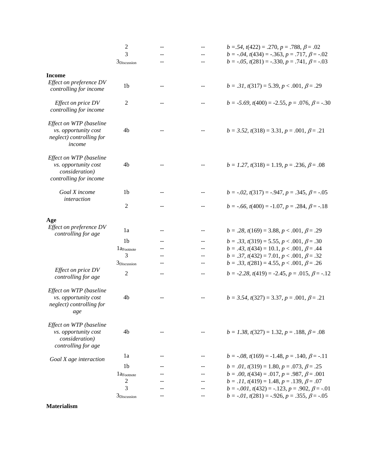|                                                                                             | $\overline{c}$          | --    | $-$                                           | $b = .54$ , $t(422) = .270$ , $p = .788$ , $\beta = .02$     |
|---------------------------------------------------------------------------------------------|-------------------------|-------|-----------------------------------------------|--------------------------------------------------------------|
|                                                                                             | 3                       |       |                                               | $b = -.04$ , $t(434) = -.363$ , $p = .717$ , $\beta = -.02$  |
|                                                                                             | 3 <sub>Discussion</sub> |       |                                               | $b = -.05$ , $t(281) = -.330$ , $p = .741$ , $\beta = -.03$  |
| <b>Income</b>                                                                               |                         |       |                                               |                                                              |
| Effect on preference DV<br>controlling for income                                           | 1 <sub>b</sub>          | --    |                                               | $b = .31$ , $t(317) = 5.39$ , $p < .001$ , $\beta = .29$     |
| Effect on price DV<br>controlling for income                                                | $\mathfrak{2}$          |       |                                               | $b = -5.69$ , $t(400) = -2.55$ , $p = .076$ , $\beta = -.30$ |
| Effect on WTP (baseline<br>vs. opportunity cost<br>neglect) controlling for<br>income       | 4 <sub>b</sub>          |       | $\mathord{\hspace{1pt}\text{--}\hspace{1pt}}$ | $b = 3.52$ , $t(318) = 3.31$ , $p = .001$ , $\beta = .21$    |
| Effect on WTP (baseline<br>vs. opportunity cost<br>consideration)<br>controlling for income | 4b                      |       |                                               | $b = 1.27$ , $t(318) = 1.19$ , $p = .236$ , $\beta = .08$    |
| Goal X income<br>interaction                                                                | 1 <sub>b</sub>          |       |                                               | $b = -.02, t(317) = -.947, p = .345, \beta = -.05$           |
|                                                                                             | 2                       |       |                                               | $b = -.66$ , $t(400) = -1.07$ , $p = .284$ , $\beta = -.18$  |
| Age                                                                                         |                         |       |                                               |                                                              |
| Effect on preference DV<br>controlling for age                                              | 1a                      | $-$   | $\overline{\phantom{m}}$                      | $b = .28$ , $t(169) = 3.88$ , $p < .001$ , $\beta = .29$     |
|                                                                                             | 1 <sub>b</sub>          |       |                                               | $b = .33$ , $t(319) = 5.55$ , $p < .001$ , $\beta = .30$     |
|                                                                                             | $1a$ Footnote           |       |                                               | $b = .43$ , $t(434) = 10.1$ , $p < .001$ , $\beta = .44$     |
|                                                                                             | 3                       |       |                                               | $b = .37, t(432) = 7.01, p < .001, \beta = .32$              |
|                                                                                             | 3 <sub>Discussion</sub> |       |                                               | $b = .33$ , $t(281) = 4.55$ , $p < .001$ , $\beta = .26$     |
| Effect on price DV<br>controlling for age                                                   | 2                       | $-$   | --                                            | $b = -2.28$ , $t(419) = -2.45$ , $p = .015$ , $\beta = -.12$ |
| Effect on WTP (baseline<br>vs. opportunity cost<br>neglect) controlling for<br>age          | 4b                      |       |                                               | $b = 3.54$ , $t(327) = 3.37$ , $p = .001$ , $\beta = .21$    |
| Effect on WTP (baseline<br>vs. opportunity cost<br>consideration)<br>controlling for age    | 4b                      |       |                                               | $b = 1.38$ , $t(327) = 1.32$ , $p = .188$ , $\beta = .08$    |
| Goal X age interaction                                                                      | la                      | $- -$ | $ -$                                          | $b = -.08, t(169) = -1.48, p = .140, \beta = -.11$           |
|                                                                                             | 1 <sub>b</sub>          |       |                                               | $b = .01$ , $t(319) = 1.80$ , $p = .073$ , $\beta = .25$     |
|                                                                                             | $1a$ Footnote           |       |                                               | $b = .00$ , $t(434) = .017$ , $p = .987$ , $\beta = .001$    |
|                                                                                             | 2                       |       |                                               | $b = .11, t(419) = 1.48, p = .139, \beta = .07$              |
|                                                                                             | 3                       |       |                                               | $b = -.001$ , $t(432) = -.123$ , $p = .902$ , $\beta = -.01$ |
|                                                                                             | $3_{Discussion}$        | --    | $-$                                           | $b = -.01$ , $t(281) = -.926$ , $p = .355$ , $\beta = -.05$  |

**Materialism**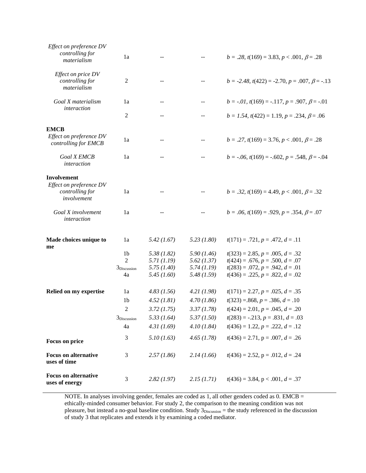| Effect on preference DV<br>controlling for<br>materialism | 1a                      | $-$        |            | $b = .28$ , $t(169) = 3.83$ , $p < .001$ , $\beta = .28$     |
|-----------------------------------------------------------|-------------------------|------------|------------|--------------------------------------------------------------|
| Effect on price DV<br>controlling for<br>materialism      | 2                       | $- -$      | $- -$      | $b = -2.48$ , $t(422) = -2.70$ , $p = .007$ , $\beta = -.13$ |
| Goal X materialism                                        | 1a                      | $- -$      | $- -$      | $b = -.01, t(169) = -.117, p = .907, \beta = -.01$           |
| interaction                                               | 2                       | $-$        | --         | $b = 1.54$ , $t(422) = 1.19$ , $p = .234$ , $\beta = .06$    |
| <b>EMCB</b>                                               |                         |            |            |                                                              |
| Effect on preference DV<br>controlling for EMCB           | 1a                      | $- -$      | $- -$      | $b = .27$ , $t(169) = 3.76$ , $p < .001$ , $\beta = .28$     |
| <b>Goal X EMCB</b><br>interaction                         | 1a                      | $- -$      | --         | $b = -.06$ , $t(169) = -.602$ , $p = .548$ , $\beta = -.04$  |
| <b>Involvement</b>                                        |                         |            |            |                                                              |
| Effect on preference DV                                   |                         |            |            |                                                              |
| controlling for<br>involvement                            | 1a                      |            |            | $b = .32$ , $t(169) = 4.49$ , $p < .001$ , $\beta = .32$     |
| Goal X involvement<br>interaction                         | 1a                      | $-$        | --         | $b = .06$ , $t(169) = .929$ , $p = .354$ , $\beta = .07$     |
| Made choices unique to<br>me                              | 1a                      | 5.42(1.67) | 5.23(1.80) | $t(171) = .721, p = .472, d = .11$                           |
|                                                           | 1 <sub>b</sub>          | 5.38(1.82) | 5.90(1.46) | $t(323) = 2.85, p = .005, d = .32$                           |
|                                                           | $\overline{2}$          | 5.71(1.19) | 5.62(1.37) | $t(424) = .676, p = .500, d = .07$                           |
|                                                           | 3Discussion             | 5.75(1.40) | 5.74(1.19) | $t(283) = .072, p = .942, d = .01$                           |
|                                                           | 4a                      | 5.45(1.60) | 5.48(1.59) | $t(436) = .225, p = .822, d = .02$                           |
| Relied on my expertise                                    | 1a                      | 4.83(1.56) | 4.21(1.98) | $t(171) = 2.27, p = .025, d = .35$                           |
|                                                           | 1 <sub>b</sub>          | 4.52(1.81) | 4.70(1.86) | $t(323) = 868, p = .386, d = .10$                            |
|                                                           | $\mathfrak{2}$          | 3.72(1.75) | 3.37(1.78) | $t(424) = 2.01, p = .045, d = .20$                           |
|                                                           | 3 <sub>Discussion</sub> | 5.33(1.64) | 5.37(1.50) | $t(283) = -.213, p = .831, d = .03$                          |
|                                                           | 4a                      | 4.31(1.69) | 4.10(1.84) | $t(436) = 1.22, p = .222, d = .12$                           |
|                                                           | 3                       | 5.10(1.63) | 4.65(1.78) | $t(436) = 2.71$ , p = .007, d = .26                          |
| Focus on price                                            |                         |            |            |                                                              |
| <b>Focus on alternative</b><br>uses of time               | 3                       | 2.57(1.86) | 2.14(1.66) | $t(436) = 2.52$ , p = .012, $d = .24$                        |
| <b>Focus on alternative</b><br>uses of energy             | 3                       | 2.82(1.97) | 2.15(1.71) | $t(436) = 3.84$ , p < .001, $d = .37$                        |
|                                                           |                         |            |            |                                                              |

NOTE. In analyses involving gender, females are coded as 1, all other genders coded as 0. EMCB = ethically-minded consumer behavior. For study 2, the comparison to the meaning condition was not pleasure, but instead a no-goal baseline condition. Study 3Discussion = the study referenced in the discussion of study 3 that replicates and extends it by examining a coded mediator.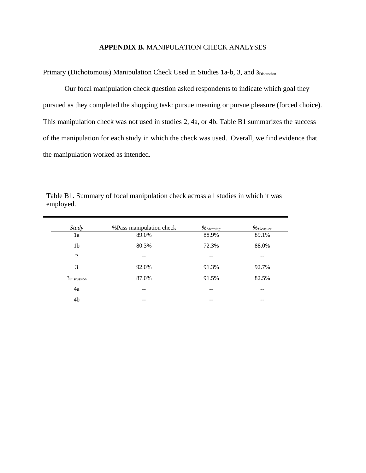### **APPENDIX B.** MANIPULATION CHECK ANALYSES

Primary (Dichotomous) Manipulation Check Used in Studies 1a-b, 3, and 3Discussion

Our focal manipulation check question asked respondents to indicate which goal they pursued as they completed the shopping task: pursue meaning or pursue pleasure (forced choice). This manipulation check was not used in studies 2, 4a, or 4b. Table B1 summarizes the success of the manipulation for each study in which the check was used. Overall, we find evidence that the manipulation worked as intended.

| <b>Study</b>     | %Pass manipulation check | $\%$ Meaning | $\%$ Pleasure |
|------------------|--------------------------|--------------|---------------|
| 1a               | 89.0%                    | 88.9%        | 89.1%         |
| 1b               | 80.3%                    | 72.3%        | 88.0%         |
| 2                | --                       | --           | --            |
| 3                | 92.0%                    | 91.3%        | 92.7%         |
| $3_{Discussion}$ | 87.0%                    | 91.5%        | 82.5%         |
| 4a               | --                       | --           |               |
| 4b               |                          | --           |               |

Table B1. Summary of focal manipulation check across all studies in which it was employed.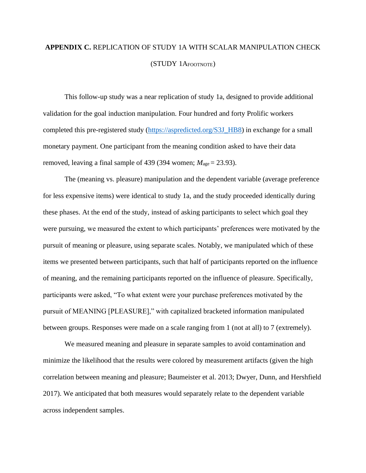# **APPENDIX C.** REPLICATION OF STUDY 1A WITH SCALAR MANIPULATION CHECK (STUDY 1AFOOTNOTE)

This follow-up study was a near replication of study 1a, designed to provide additional validation for the goal induction manipulation. Four hundred and forty Prolific workers completed this pre-registered study [\(https://aspredicted.org/S3J\\_HB8\)](https://aspredicted.org/S3J_HB8) in exchange for a small monetary payment. One participant from the meaning condition asked to have their data removed, leaving a final sample of 439 (394 women;  $M_{\text{age}} = 23.93$ ).

The (meaning vs. pleasure) manipulation and the dependent variable (average preference for less expensive items) were identical to study 1a, and the study proceeded identically during these phases. At the end of the study, instead of asking participants to select which goal they were pursuing, we measured the extent to which participants' preferences were motivated by the pursuit of meaning or pleasure, using separate scales. Notably, we manipulated which of these items we presented between participants, such that half of participants reported on the influence of meaning, and the remaining participants reported on the influence of pleasure. Specifically, participants were asked, "To what extent were your purchase preferences motivated by the pursuit of MEANING [PLEASURE]," with capitalized bracketed information manipulated between groups. Responses were made on a scale ranging from 1 (not at all) to 7 (extremely).

We measured meaning and pleasure in separate samples to avoid contamination and minimize the likelihood that the results were colored by measurement artifacts (given the high correlation between meaning and pleasure; Baumeister et al. 2013; Dwyer, Dunn, and Hershfield 2017). We anticipated that both measures would separately relate to the dependent variable across independent samples.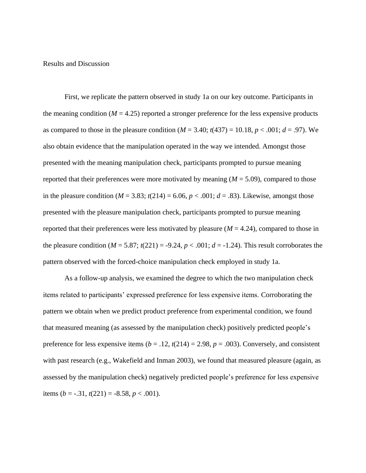Results and Discussion

First, we replicate the pattern observed in study 1a on our key outcome. Participants in the meaning condition ( $M = 4.25$ ) reported a stronger preference for the less expensive products as compared to those in the pleasure condition  $(M = 3.40; t(437) = 10.18, p < .001; d = .97)$ . We also obtain evidence that the manipulation operated in the way we intended. Amongst those presented with the meaning manipulation check, participants prompted to pursue meaning reported that their preferences were more motivated by meaning (*M* = 5.09), compared to those in the pleasure condition ( $M = 3.83$ ;  $t(214) = 6.06$ ,  $p < .001$ ;  $d = .83$ ). Likewise, amongst those presented with the pleasure manipulation check, participants prompted to pursue meaning reported that their preferences were less motivated by pleasure  $(M = 4.24)$ , compared to those in the pleasure condition  $(M = 5.87; t(221) = -9.24, p < .001; d = -1.24$ ). This result corroborates the pattern observed with the forced-choice manipulation check employed in study 1a.

As a follow-up analysis, we examined the degree to which the two manipulation check items related to participants' expressed preference for less expensive items. Corroborating the pattern we obtain when we predict product preference from experimental condition, we found that measured meaning (as assessed by the manipulation check) positively predicted people's preference for less expensive items ( $b = .12$ ,  $t(214) = 2.98$ ,  $p = .003$ ). Conversely, and consistent with past research (e.g., Wakefield and Inman 2003), we found that measured pleasure (again, as assessed by the manipulation check) negatively predicted people's preference for less expensive items  $(b = -.31, t(221) = -8.58, p < .001)$ .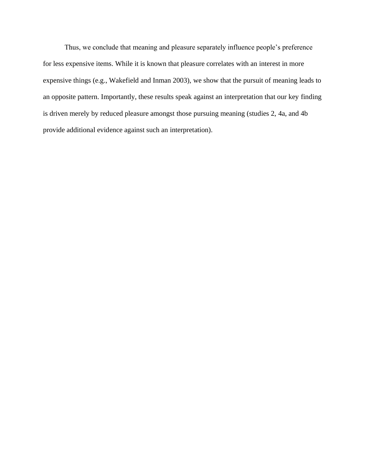Thus, we conclude that meaning and pleasure separately influence people's preference for less expensive items. While it is known that pleasure correlates with an interest in more expensive things (e.g., Wakefield and Inman 2003), we show that the pursuit of meaning leads to an opposite pattern. Importantly, these results speak against an interpretation that our key finding is driven merely by reduced pleasure amongst those pursuing meaning (studies 2, 4a, and 4b provide additional evidence against such an interpretation).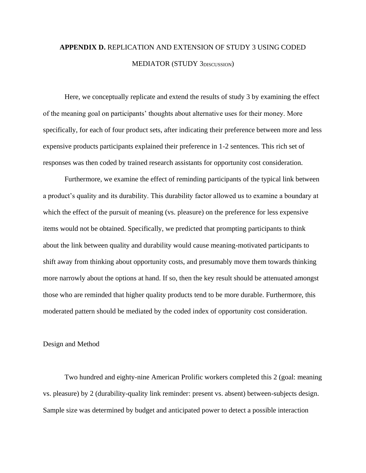# **APPENDIX D.** REPLICATION AND EXTENSION OF STUDY 3 USING CODED MEDIATOR (STUDY 3DISCUSSION)

Here, we conceptually replicate and extend the results of study 3 by examining the effect of the meaning goal on participants' thoughts about alternative uses for their money. More specifically, for each of four product sets, after indicating their preference between more and less expensive products participants explained their preference in 1-2 sentences. This rich set of responses was then coded by trained research assistants for opportunity cost consideration.

Furthermore, we examine the effect of reminding participants of the typical link between a product's quality and its durability. This durability factor allowed us to examine a boundary at which the effect of the pursuit of meaning (vs. pleasure) on the preference for less expensive items would not be obtained. Specifically, we predicted that prompting participants to think about the link between quality and durability would cause meaning-motivated participants to shift away from thinking about opportunity costs, and presumably move them towards thinking more narrowly about the options at hand. If so, then the key result should be attenuated amongst those who are reminded that higher quality products tend to be more durable. Furthermore, this moderated pattern should be mediated by the coded index of opportunity cost consideration.

#### Design and Method

Two hundred and eighty-nine American Prolific workers completed this 2 (goal: meaning vs. pleasure) by 2 (durability-quality link reminder: present vs. absent) between-subjects design. Sample size was determined by budget and anticipated power to detect a possible interaction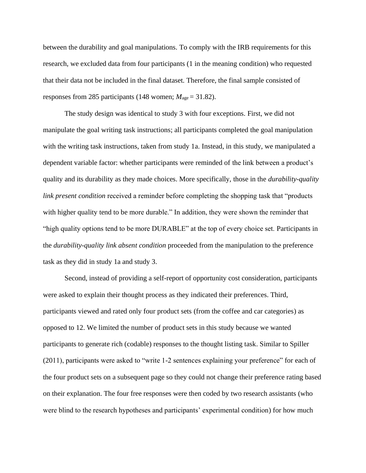between the durability and goal manipulations. To comply with the IRB requirements for this research, we excluded data from four participants (1 in the meaning condition) who requested that their data not be included in the final dataset. Therefore, the final sample consisted of responses from 285 participants (148 women;  $M_{\text{age}} = 31.82$ ).

The study design was identical to study 3 with four exceptions. First, we did not manipulate the goal writing task instructions; all participants completed the goal manipulation with the writing task instructions, taken from study 1a. Instead, in this study, we manipulated a dependent variable factor: whether participants were reminded of the link between a product's quality and its durability as they made choices. More specifically, those in the *durability-quality link present condition* received a reminder before completing the shopping task that "products" with higher quality tend to be more durable." In addition, they were shown the reminder that "high quality options tend to be more DURABLE" at the top of every choice set. Participants in the *durability-quality link absent condition* proceeded from the manipulation to the preference task as they did in study 1a and study 3.

Second, instead of providing a self-report of opportunity cost consideration, participants were asked to explain their thought process as they indicated their preferences. Third, participants viewed and rated only four product sets (from the coffee and car categories) as opposed to 12. We limited the number of product sets in this study because we wanted participants to generate rich (codable) responses to the thought listing task. Similar to Spiller (2011), participants were asked to "write 1-2 sentences explaining your preference" for each of the four product sets on a subsequent page so they could not change their preference rating based on their explanation. The four free responses were then coded by two research assistants (who were blind to the research hypotheses and participants' experimental condition) for how much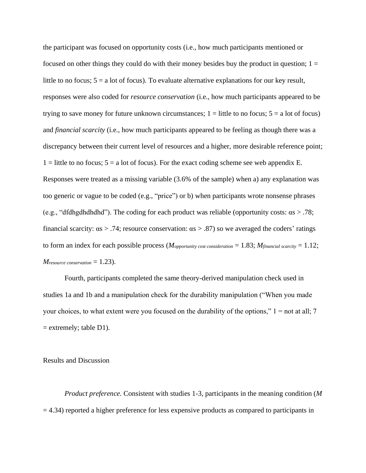the participant was focused on opportunity costs (i.e., how much participants mentioned or focused on other things they could do with their money besides buy the product in question;  $1 =$ little to no focus;  $5 = a$  lot of focus). To evaluate alternative explanations for our key result, responses were also coded for *resource conservation* (i.e., how much participants appeared to be trying to save money for future unknown circumstances;  $1 =$  little to no focus;  $5 =$  a lot of focus) and *financial scarcity* (i.e., how much participants appeared to be feeling as though there was a discrepancy between their current level of resources and a higher, more desirable reference point;  $1 =$  little to no focus;  $5 =$  a lot of focus). For the exact coding scheme see web appendix E. Responses were treated as a missing variable (3.6% of the sample) when a) any explanation was too generic or vague to be coded (e.g., "price") or b) when participants wrote nonsense phrases (e.g., "dfdhgdhdhdhd"). The coding for each product was reliable (opportunity costs:  $\alpha s > .78$ ; financial scarcity:  $\alpha s > .74$ ; resource conservation:  $\alpha s > .87$ ) so we averaged the coders' ratings to form an index for each possible process (*Mopportunity cost consideration* = 1.83; *Mfinancial scarcity* = 1.12;  $M$ *resource conservation*  $= 1.23$ .

Fourth, participants completed the same theory-derived manipulation check used in studies 1a and 1b and a manipulation check for the durability manipulation ("When you made your choices, to what extent were you focused on the durability of the options,"  $1 =$  not at all; 7  $=$  extremely; table D1).

Results and Discussion

*Product preference.* Consistent with studies 1-3, participants in the meaning condition (*M*  $= 4.34$ ) reported a higher preference for less expensive products as compared to participants in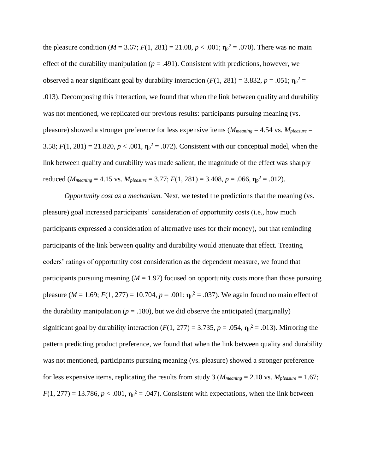the pleasure condition ( $M = 3.67$ ;  $F(1, 281) = 21.08$ ,  $p < .001$ ;  $\eta_p^2 = .070$ ). There was no main effect of the durability manipulation ( $p = .491$ ). Consistent with predictions, however, we observed a near significant goal by durability interaction  $(F(1, 281) = 3.832, p = .051; \eta_p^2 =$ .013). Decomposing this interaction, we found that when the link between quality and durability was not mentioned, we replicated our previous results: participants pursuing meaning (vs. pleasure) showed a stronger preference for less expensive items (*Mmeaning* = 4.54 vs. *Mpleasure* = 3.58;  $F(1, 281) = 21.820$ ,  $p < .001$ ,  $\eta_p^2 = .072$ ). Consistent with our conceptual model, when the link between quality and durability was made salient, the magnitude of the effect was sharply reduced (*M<sub>meaning</sub>* = 4.15 vs. *M<sub>pleasure</sub>* = 3.77;  $F(1, 281)$  = 3.408,  $p = .066$ ,  $\eta_p^2 = .012$ ).

*Opportunity cost as a mechanism.* Next, we tested the predictions that the meaning (vs. pleasure) goal increased participants' consideration of opportunity costs (i.e., how much participants expressed a consideration of alternative uses for their money), but that reminding participants of the link between quality and durability would attenuate that effect. Treating coders' ratings of opportunity cost consideration as the dependent measure, we found that participants pursuing meaning  $(M = 1.97)$  focused on opportunity costs more than those pursuing pleasure ( $M = 1.69$ ;  $F(1, 277) = 10.704$ ,  $p = .001$ ;  $\eta_p^2 = .037$ ). We again found no main effect of the durability manipulation ( $p = .180$ ), but we did observe the anticipated (marginally) significant goal by durability interaction  $(F(1, 277) = 3.735, p = .054, \eta_p^2 = .013)$ . Mirroring the pattern predicting product preference, we found that when the link between quality and durability was not mentioned, participants pursuing meaning (vs. pleasure) showed a stronger preference for less expensive items, replicating the results from study 3 (*Mmeaning* = 2.10 vs. *Mpleasure* = 1.67;  $F(1, 277) = 13.786$ ,  $p < .001$ ,  $\eta_p^2 = .047$ ). Consistent with expectations, when the link between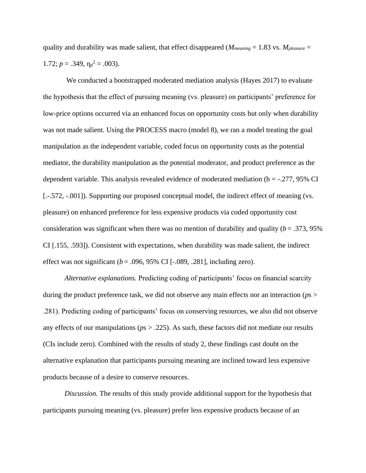quality and durability was made salient, that effect disappeared (*Mmeaning* = 1.83 vs. *Mpleasure* = 1.72;  $p = .349$ ,  $\eta_p^2 = .003$ ).

We conducted a bootstrapped moderated mediation analysis (Hayes 2017) to evaluate the hypothesis that the effect of pursuing meaning (vs. pleasure) on participants' preference for low-price options occurred via an enhanced focus on opportunity costs but only when durability was not made salient. Using the PROCESS macro (model 8), we ran a model treating the goal manipulation as the independent variable, coded focus on opportunity costs as the potential mediator, the durability manipulation as the potential moderator, and product preference as the dependent variable. This analysis revealed evidence of moderated mediation ( $b = -0.277$ , 95% CI [.-.572, -.001]). Supporting our proposed conceptual model, the indirect effect of meaning (vs. pleasure) on enhanced preference for less expensive products via coded opportunity cost consideration was significant when there was no mention of durability and quality  $(b = .373, 95\%)$ CI [.155, .593]). Consistent with expectations, when durability was made salient, the indirect effect was not significant ( $b = .096, 95\%$  CI [ $-.089, .281$ ], including zero).

*Alternative explanations.* Predicting coding of participants' focus on financial scarcity during the product preference task, we did not observe any main effects nor an interaction (*p*s > .281). Predicting coding of participants' focus on conserving resources, we also did not observe any effects of our manipulations (*p*s > .225). As such, these factors did not mediate our results (CIs include zero). Combined with the results of study 2, these findings cast doubt on the alternative explanation that participants pursuing meaning are inclined toward less expensive products because of a desire to conserve resources.

*Discussion.* The results of this study provide additional support for the hypothesis that participants pursuing meaning (vs. pleasure) prefer less expensive products because of an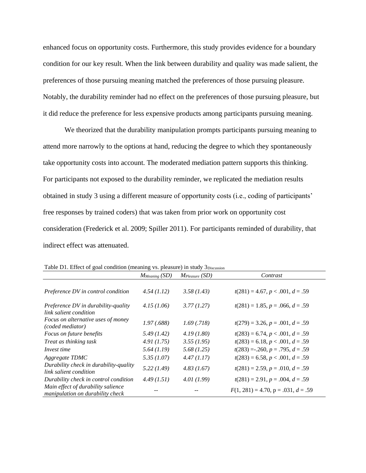enhanced focus on opportunity costs. Furthermore, this study provides evidence for a boundary condition for our key result. When the link between durability and quality was made salient, the preferences of those pursuing meaning matched the preferences of those pursuing pleasure. Notably, the durability reminder had no effect on the preferences of those pursuing pleasure, but it did reduce the preference for less expensive products among participants pursuing meaning.

We theorized that the durability manipulation prompts participants pursuing meaning to attend more narrowly to the options at hand, reducing the degree to which they spontaneously take opportunity costs into account. The moderated mediation pattern supports this thinking. For participants not exposed to the durability reminder, we replicated the mediation results obtained in study 3 using a different measure of opportunity costs (i.e., coding of participants' free responses by trained coders) that was taken from prior work on opportunity cost consideration (Frederick et al. 2009; Spiller 2011). For participants reminded of durability, that indirect effect was attenuated.

|                                                                        | $M_{Meaning}$ (SD) | $M_{Please}$ (SD) | Contrast                               |
|------------------------------------------------------------------------|--------------------|-------------------|----------------------------------------|
| Preference DV in control condition                                     | 4.54(1.12)         | 3.58(1.43)        | $t(281) = 4.67, p < .001, d = .59$     |
| Preference DV in durability-quality<br>link salient condition          | 4.15(1.06)         | 3.77(1.27)        | $t(281) = 1.85, p = .066, d = .59$     |
| Focus on alternative uses of money<br>(coded mediator)                 | 1.97(0.688)        | 1.69(0.718)       | $t(279) = 3.26, p = .001, d = .59$     |
| Focus on future benefits                                               | 5.49(1.42)         | 4.19(1.80)        | $t(283) = 6.74, p < .001, d = .59$     |
| Treat as thinking task                                                 | 4.91(1.75)         | 3.55(1.95)        | $t(283) = 6.18, p < .001, d = .59$     |
| Invest time                                                            | 5.64(1.19)         | 5.68(1.25)        | $t(283) = .260, p = .795, d = .59$     |
| Aggregate TDMC                                                         | 5.35(1.07)         | 4.47(1.17)        | $t(283) = 6.58, p < .001, d = .59$     |
| Durability check in durability-quality<br>link salient condition       | 5.22(1.49)         | 4.83(1.67)        | $t(281) = 2.59, p = .010, d = .59$     |
| Durability check in control condition                                  | 4.49(1.51)         | 4.01(1.99)        | $t(281) = 2.91, p = .004, d = .59$     |
| Main effect of durability salience<br>manipulation on durability check |                    |                   | $F(1, 281) = 4.70$ , p = .031, d = .59 |

Table D1. Effect of goal condition (meaning vs. pleasure) in study  $3<sub>Discussion</sub>$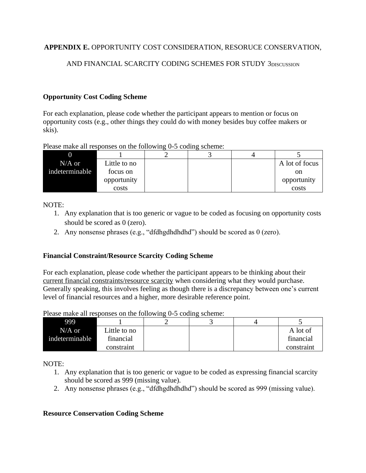# **APPENDIX E.** OPPORTUNITY COST CONSIDERATION, RESORUCE CONSERVATION,

# AND FINANCIAL SCARCITY CODING SCHEMES FOR STUDY 3piscussion

## **Opportunity Cost Coding Scheme**

For each explanation, please code whether the participant appears to mention or focus on opportunity costs (e.g., other things they could do with money besides buy coffee makers or skis).

Please make all responses on the following 0-5 coding scheme:

| $N/A$ or       | Little to no |  | A lot of focus |
|----------------|--------------|--|----------------|
| indeterminable | focus on     |  | on             |
|                | opportunity  |  | opportunity    |
|                | costs        |  | costs          |

NOTE:

- 1. Any explanation that is too generic or vague to be coded as focusing on opportunity costs should be scored as 0 (zero).
- 2. Any nonsense phrases (e.g., "dfdhgdhdhdhd") should be scored as 0 (zero).

## **Financial Constraint/Resource Scarcity Coding Scheme**

For each explanation, please code whether the participant appears to be thinking about their current financial constraints/resource scarcity when considering what they would purchase. Generally speaking, this involves feeling as though there is a discrepancy between one's current level of financial resources and a higher, more desirable reference point.

Please make all responses on the following 0-5 coding scheme:

| 999            |                 |  |            |
|----------------|-----------------|--|------------|
| $N/A$ or       | $L$ ittle to no |  | A lot of   |
| indeterminable | financial       |  | financial  |
|                | constraint      |  | constraint |

NOTE:

- 1. Any explanation that is too generic or vague to be coded as expressing financial scarcity should be scored as 999 (missing value).
- 2. Any nonsense phrases (e.g., "dfdhgdhdhdhd") should be scored as 999 (missing value).

## **Resource Conservation Coding Scheme**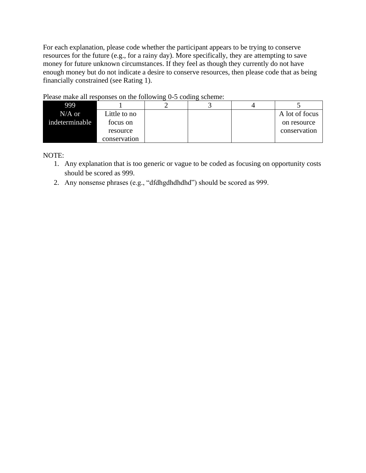For each explanation, please code whether the participant appears to be trying to conserve resources for the future (e.g., for a rainy day). More specifically, they are attempting to save money for future unknown circumstances. If they feel as though they currently do not have enough money but do not indicate a desire to conserve resources, then please code that as being financially constrained (see Rating 1).

| 999            |              |  |                |
|----------------|--------------|--|----------------|
| $N/A$ or       | Little to no |  | A lot of focus |
| indeterminable | focus on     |  | on resource    |
|                | resource     |  | conservation   |
|                | conservation |  |                |

Please make all responses on the following 0-5 coding scheme:

NOTE:

- 1. Any explanation that is too generic or vague to be coded as focusing on opportunity costs should be scored as 999.
- 2. Any nonsense phrases (e.g., "dfdhgdhdhdhd") should be scored as 999.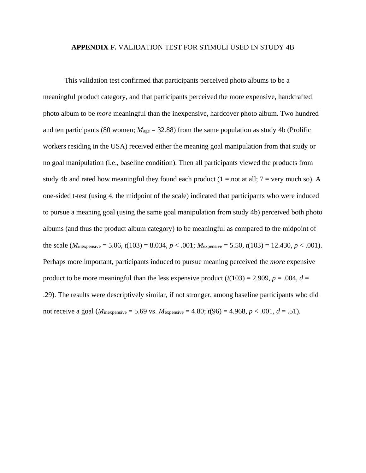#### **APPENDIX F.** VALIDATION TEST FOR STIMULI USED IN STUDY 4B

This validation test confirmed that participants perceived photo albums to be a meaningful product category, and that participants perceived the more expensive, handcrafted photo album to be *more* meaningful than the inexpensive, hardcover photo album. Two hundred and ten participants (80 women;  $M_{\text{age}} = 32.88$ ) from the same population as study 4b (Prolific workers residing in the USA) received either the meaning goal manipulation from that study or no goal manipulation (i.e., baseline condition). Then all participants viewed the products from study 4b and rated how meaningful they found each product  $(1 = not at all; 7 = very much so)$ . A one-sided t-test (using 4, the midpoint of the scale) indicated that participants who were induced to pursue a meaning goal (using the same goal manipulation from study 4b) perceived both photo albums (and thus the product album category) to be meaningful as compared to the midpoint of the scale (*M*inexpensive = 5.06,  $t(103) = 8.034$ ,  $p < .001$ ; *Mexpensive* = 5.50,  $t(103) = 12.430$ ,  $p < .001$ ). Perhaps more important, participants induced to pursue meaning perceived the *more* expensive product to be more meaningful than the less expensive product  $(t(103) = 2.909, p = .004, d =$ .29). The results were descriptively similar, if not stronger, among baseline participants who did not receive a goal (*M*inexpensive = 5.69 vs. *M*expensive = 4.80;  $t(96) = 4.968$ ,  $p < .001$ ,  $d = .51$ ).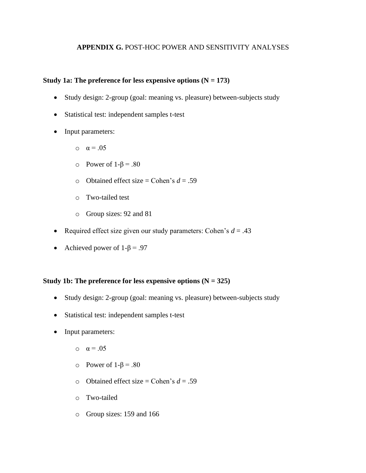## **APPENDIX G.** POST-HOC POWER AND SENSITIVITY ANALYSES

## **Study 1a: The preference for less expensive options (N = 173)**

- Study design: 2-group (goal: meaning vs. pleasure) between-subjects study
- Statistical test: independent samples t-test
- Input parameters:
	- o  $\alpha = .05$
	- o Power of 1-β = .80
	- o Obtained effect size = Cohen's *d* = .59
	- o Two-tailed test
	- o Group sizes: 92 and 81
- Required effect size given our study parameters: Cohen's  $d = .43$
- Achieved power of  $1-\beta = .97$

## **Study 1b: The preference for less expensive options (N = 325)**

- Study design: 2-group (goal: meaning vs. pleasure) between-subjects study
- Statistical test: independent samples t-test
- Input parameters:
	- o  $\alpha = .05$
	- o Power of 1-β = .80
	- o Obtained effect size = Cohen's *d* = .59
	- o Two-tailed
	- o Group sizes: 159 and 166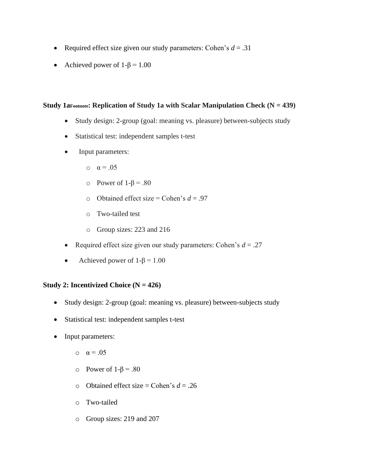- Required effect size given our study parameters: Cohen's  $d = .31$
- Achieved power of  $1-\beta = 1.00$

## **Study 1aFootnote: Replication of Study 1a with Scalar Manipulation Check (N = 439)**

- Study design: 2-group (goal: meaning vs. pleasure) between-subjects study
- Statistical test: independent samples t-test
- Input parameters:
	- o  $\alpha = .05$
	- o Power of 1-β = .80
	- o Obtained effect size = Cohen's *d* = .97
	- o Two-tailed test
	- o Group sizes: 223 and 216
- Required effect size given our study parameters: Cohen's  $d = .27$
- Achieved power of  $1-\beta = 1.00$

## **Study 2: Incentivized Choice (N = 426)**

- Study design: 2-group (goal: meaning vs. pleasure) between-subjects study
- Statistical test: independent samples t-test
- Input parameters:
	- $\alpha = .05$
	- o Power of 1-β = .80
	- o Obtained effect size = Cohen's *d* = .26
	- o Two-tailed
	- o Group sizes: 219 and 207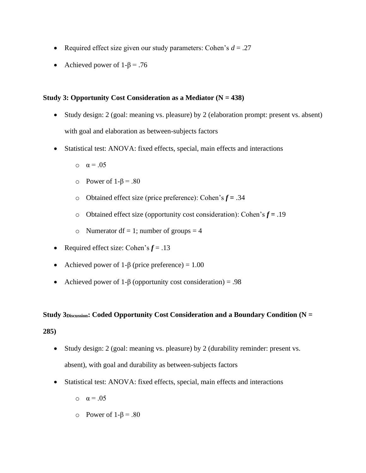- Required effect size given our study parameters: Cohen's  $d = .27$
- Achieved power of  $1-\beta = .76$

## **Study 3: Opportunity Cost Consideration as a Mediator (N = 438)**

- Study design: 2 (goal: meaning vs. pleasure) by 2 (elaboration prompt: present vs. absent) with goal and elaboration as between-subjects factors
- Statistical test: ANOVA: fixed effects, special, main effects and interactions
	- o  $\alpha = .05$
	- o Power of 1-β = .80
	- o Obtained effect size (price preference): Cohen's *f* **=** .34
	- o Obtained effect size (opportunity cost consideration): Cohen's *f* **=** .19
	- o Numerator df = 1; number of groups = 4
- Required effect size: Cohen's  $f = .13$
- Achieved power of  $1-\beta$  (price preference) = 1.00
- Achieved power of 1-β (opportunity cost consideration) = .98

**Study 3Discussion: Coded Opportunity Cost Consideration and a Boundary Condition (N =** 

**285)**

- Study design: 2 (goal: meaning vs. pleasure) by 2 (durability reminder: present vs. absent), with goal and durability as between-subjects factors
- Statistical test: ANOVA: fixed effects, special, main effects and interactions
	- o  $\alpha = .05$
	- o Power of 1-β = .80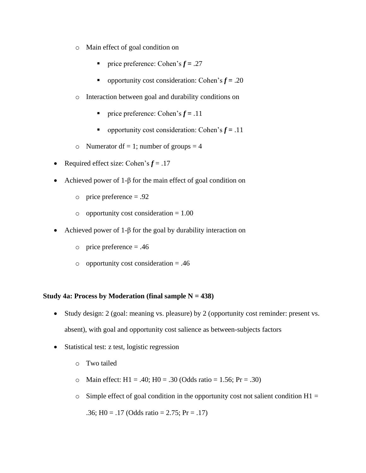- o Main effect of goal condition on
	- **•** price preference: Cohen's  $f = .27$
	- **•** opportunity cost consideration: Cohen's  $f = .20$
- o Interaction between goal and durability conditions on
	- **•** price preference: Cohen's  $f = .11$
	- **•** opportunity cost consideration: Cohen's  $f = .11$
- o Numerator df = 1; number of groups = 4
- Required effect size: Cohen's  $f = .17$
- Achieved power of 1- $\beta$  for the main effect of goal condition on
	- $\circ$  price preference = .92
	- $\circ$  opportunity cost consideration = 1.00
- Achieved power of 1-β for the goal by durability interaction on
	- o price preference  $= .46$
	- $\circ$  opportunity cost consideration = .46

## **Study 4a: Process by Moderation (final sample N = 438)**

- Study design: 2 (goal: meaning vs. pleasure) by 2 (opportunity cost reminder: present vs. absent), with goal and opportunity cost salience as between-subjects factors
- Statistical test: z test, logistic regression
	- o Two tailed
	- o Main effect:  $H1 = .40$ ;  $H0 = .30$  (Odds ratio = 1.56; Pr = .30)
	- $\circ$  Simple effect of goal condition in the opportunity cost not salient condition H1 =

.36; H0 = .17 (Odds ratio = 2.75; Pr = .17)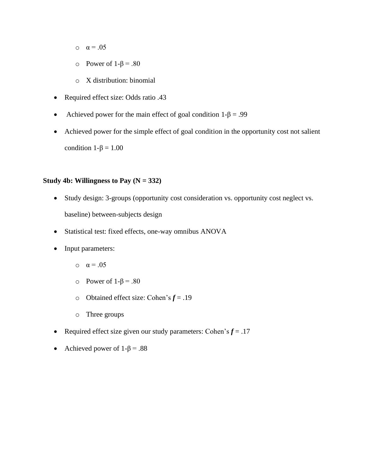- o  $\alpha = .05$
- o Power of 1-β = .80
- o X distribution: binomial
- Required effect size: Odds ratio .43
- Achieved power for the main effect of goal condition  $1-\beta = .99$
- Achieved power for the simple effect of goal condition in the opportunity cost not salient condition  $1-\beta = 1.00$

## **Study 4b: Willingness to Pay (N = 332)**

- Study design: 3-groups (opportunity cost consideration vs. opportunity cost neglect vs. baseline) between-subjects design
- Statistical test: fixed effects, one-way omnibus ANOVA
- Input parameters:
	- $\alpha = .05$
	- o Power of 1-β = .80
	- o Obtained effect size: Cohen's *f* = .19
	- o Three groups
- Required effect size given our study parameters: Cohen's  $f = .17$
- Achieved power of  $1-\beta = .88$